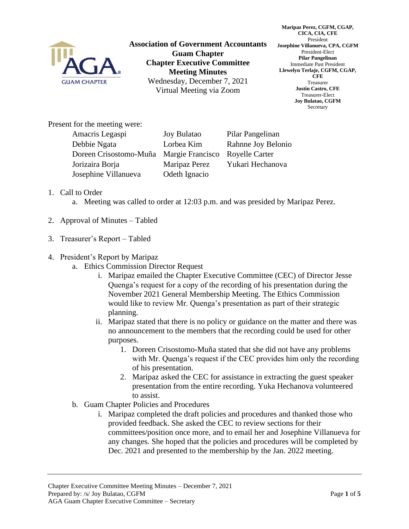

**Association of Government Accountants Guam Chapter Chapter Executive Committee Meeting Minutes** Wednesday, December 7, 2021 Virtual Meeting via Zoom

**Maripaz Perez, CGFM, CGAP, CICA, CIA, CFE** President **Josephine Villanueva, CPA, CGFM** President-Elect **Pilar Pangelinan** Immediate Past President **Llewelyn Terlaje, CGFM, CGAP, CFE** Treasurer **Justin Castro, CFE** Treasurer-Elect **Joy Bulatao, CGFM** Secretary

Present for the meeting were:

| Amacris Legaspi        | <b>Joy Bulatao</b> | Pilar Pangelinan      |
|------------------------|--------------------|-----------------------|
| Debbie Ngata           | Lorbea Kim         | Rahnne Joy Belonio    |
| Doreen Crisostomo-Muña | Margie Francisco   | <b>Royelle Carter</b> |
| Jorizaira Borja        | Maripaz Perez      | Yukari Hechanova      |
| Josephine Villanueva   | Odeth Ignacio      |                       |

- 1. Call to Order
	- a. Meeting was called to order at 12:03 p.m. and was presided by Maripaz Perez.
- 2. Approval of Minutes Tabled
- 3. Treasurer's Report Tabled
- 4. President's Report by Maripaz
	- a. Ethics Commission Director Request
		- i. Maripaz emailed the Chapter Executive Committee (CEC) of Director Jesse Quenga's request for a copy of the recording of his presentation during the November 2021 General Membership Meeting. The Ethics Commission would like to review Mr. Quenga's presentation as part of their strategic planning.
		- ii. Maripaz stated that there is no policy or guidance on the matter and there was no announcement to the members that the recording could be used for other purposes.
			- 1. Doreen Crisostomo-Muña stated that she did not have any problems with Mr. Quenga's request if the CEC provides him only the recording of his presentation.
			- 2. Maripaz asked the CEC for assistance in extracting the guest speaker presentation from the entire recording. Yuka Hechanova volunteered to assist.
	- b. Guam Chapter Policies and Procedures
		- i. Maripaz completed the draft policies and procedures and thanked those who provided feedback. She asked the CEC to review sections for their committees/position once more, and to email her and Josephine Villanueva for any changes. She hoped that the policies and procedures will be completed by Dec. 2021 and presented to the membership by the Jan. 2022 meeting.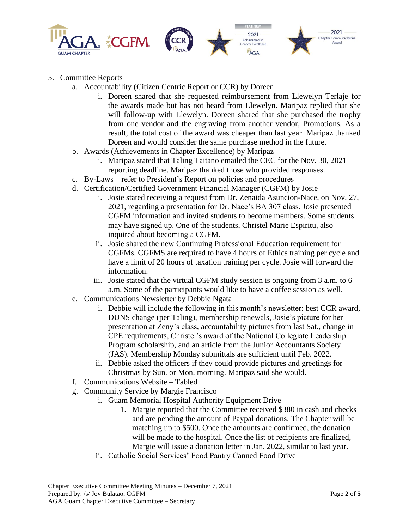

## 5. Committee Reports

- a. Accountability (Citizen Centric Report or CCR) by Doreen
	- i. Doreen shared that she requested reimbursement from Llewelyn Terlaje for the awards made but has not heard from Llewelyn. Maripaz replied that she will follow-up with Llewelyn. Doreen shared that she purchased the trophy from one vendor and the engraving from another vendor, Promotions. As a result, the total cost of the award was cheaper than last year. Maripaz thanked Doreen and would consider the same purchase method in the future.
- b. Awards (Achievements in Chapter Excellence) by Maripaz
	- i. Maripaz stated that Taling Taitano emailed the CEC for the Nov. 30, 2021 reporting deadline. Maripaz thanked those who provided responses.
- c. By-Laws refer to President's Report on policies and procedures
- d. Certification/Certified Government Financial Manager (CGFM) by Josie
	- i. Josie stated receiving a request from Dr. Zenaida Asuncion-Nace, on Nov. 27, 2021, regarding a presentation for Dr. Nace's BA 307 class. Josie presented CGFM information and invited students to become members. Some students may have signed up. One of the students, Christel Marie Espiritu, also inquired about becoming a CGFM.
	- ii. Josie shared the new Continuing Professional Education requirement for CGFMs. CGFMS are required to have 4 hours of Ethics training per cycle and have a limit of 20 hours of taxation training per cycle. Josie will forward the information.
	- iii. Josie stated that the virtual CGFM study session is ongoing from 3 a.m. to 6 a.m. Some of the participants would like to have a coffee session as well.
- e. Communications Newsletter by Debbie Ngata
	- i. Debbie will include the following in this month's newsletter: best CCR award, DUNS change (per Taling), membership renewals, Josie's picture for her presentation at Zeny's class, accountability pictures from last Sat., change in CPE requirements, Christel's award of the National Collegiate Leadership Program scholarship, and an article from the Junior Accountants Society (JAS). Membership Monday submittals are sufficient until Feb. 2022.
	- ii. Debbie asked the officers if they could provide pictures and greetings for Christmas by Sun. or Mon. morning. Maripaz said she would.
- f. Communications Website Tabled
- g. Community Service by Margie Francisco
	- i. Guam Memorial Hospital Authority Equipment Drive
		- 1. Margie reported that the Committee received \$380 in cash and checks and are pending the amount of Paypal donations. The Chapter will be matching up to \$500. Once the amounts are confirmed, the donation will be made to the hospital. Once the list of recipients are finalized, Margie will issue a donation letter in Jan. 2022, similar to last year.
	- ii. Catholic Social Services' Food Pantry Canned Food Drive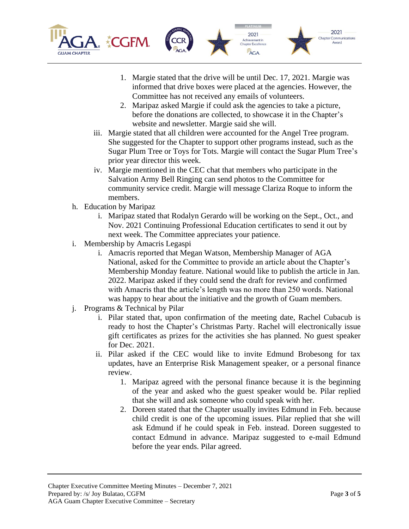



2021

Achievement in<br>Chapter Excellence **AGA** 

- 2. Maripaz asked Margie if could ask the agencies to take a picture, before the donations are collected, to showcase it in the Chapter's website and newsletter. Margie said she will.
- iii. Margie stated that all children were accounted for the Angel Tree program. She suggested for the Chapter to support other programs instead, such as the Sugar Plum Tree or Toys for Tots. Margie will contact the Sugar Plum Tree's prior year director this week.
- iv. Margie mentioned in the CEC chat that members who participate in the Salvation Army Bell Ringing can send photos to the Committee for community service credit. Margie will message Clariza Roque to inform the members.
- h. Education by Maripaz
	- i. Maripaz stated that Rodalyn Gerardo will be working on the Sept., Oct., and Nov. 2021 Continuing Professional Education certificates to send it out by next week. The Committee appreciates your patience.
- i. Membership by Amacris Legaspi
	- i. Amacris reported that Megan Watson, Membership Manager of AGA National, asked for the Committee to provide an article about the Chapter's Membership Monday feature. National would like to publish the article in Jan. 2022. Maripaz asked if they could send the draft for review and confirmed with Amacris that the article's length was no more than 250 words. National was happy to hear about the initiative and the growth of Guam members.
- j. Programs & Technical by Pilar
	- i. Pilar stated that, upon confirmation of the meeting date, Rachel Cubacub is ready to host the Chapter's Christmas Party. Rachel will electronically issue gift certificates as prizes for the activities she has planned. No guest speaker for Dec. 2021.
	- ii. Pilar asked if the CEC would like to invite Edmund Brobesong for tax updates, have an Enterprise Risk Management speaker, or a personal finance review.
		- 1. Maripaz agreed with the personal finance because it is the beginning of the year and asked who the guest speaker would be. Pilar replied that she will and ask someone who could speak with her.
		- 2. Doreen stated that the Chapter usually invites Edmund in Feb. because child credit is one of the upcoming issues. Pilar replied that she will ask Edmund if he could speak in Feb. instead. Doreen suggested to contact Edmund in advance. Maripaz suggested to e-mail Edmund before the year ends. Pilar agreed.

2021

**Chapter Communications**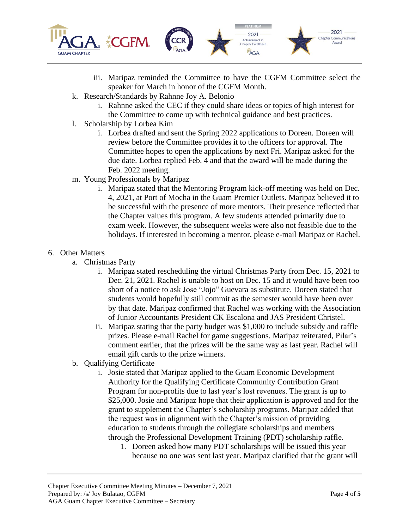

- iii. Maripaz reminded the Committee to have the CGFM Committee select the speaker for March in honor of the CGFM Month.
- k. Research/Standards by Rahnne Joy A. Belonio
	- i. Rahnne asked the CEC if they could share ideas or topics of high interest for the Committee to come up with technical guidance and best practices.
- l. Scholarship by Lorbea Kim
	- i. Lorbea drafted and sent the Spring 2022 applications to Doreen. Doreen will review before the Committee provides it to the officers for approval. The Committee hopes to open the applications by next Fri. Maripaz asked for the due date. Lorbea replied Feb. 4 and that the award will be made during the Feb. 2022 meeting.
- m. Young Professionals by Maripaz
	- i. Maripaz stated that the Mentoring Program kick-off meeting was held on Dec. 4, 2021, at Port of Mocha in the Guam Premier Outlets. Maripaz believed it to be successful with the presence of more mentors. Their presence reflected that the Chapter values this program. A few students attended primarily due to exam week. However, the subsequent weeks were also not feasible due to the holidays. If interested in becoming a mentor, please e-mail Maripaz or Rachel.

## 6. Other Matters

- a. Christmas Party
	- i. Maripaz stated rescheduling the virtual Christmas Party from Dec. 15, 2021 to Dec. 21, 2021. Rachel is unable to host on Dec. 15 and it would have been too short of a notice to ask Jose "Jojo" Guevara as substitute. Doreen stated that students would hopefully still commit as the semester would have been over by that date. Maripaz confirmed that Rachel was working with the Association of Junior Accountants President CK Escalona and JAS President Christel.
	- ii. Maripaz stating that the party budget was \$1,000 to include subsidy and raffle prizes. Please e-mail Rachel for game suggestions. Maripaz reiterated, Pilar's comment earlier, that the prizes will be the same way as last year. Rachel will email gift cards to the prize winners.
- b. Qualifying Certificate
	- i. Josie stated that Maripaz applied to the Guam Economic Development Authority for the Qualifying Certificate Community Contribution Grant Program for non-profits due to last year's lost revenues. The grant is up to \$25,000. Josie and Maripaz hope that their application is approved and for the grant to supplement the Chapter's scholarship programs. Maripaz added that the request was in alignment with the Chapter's mission of providing education to students through the collegiate scholarships and members through the Professional Development Training (PDT) scholarship raffle.
		- 1. Doreen asked how many PDT scholarships will be issued this year because no one was sent last year. Maripaz clarified that the grant will